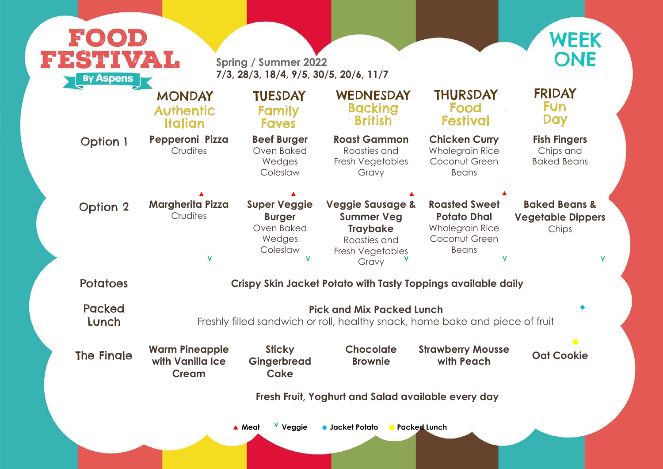**Fish Fingers** Chips and Baked Beans

## **Baked Beans & Vegetable Dippers Chips**

 $\overline{\mathsf{V}}$ 

ece of fruit

|                                                               | <b>FESTIVAL</b><br><b>Spring / Summer 2022</b><br>7/3, 28/3, 18/4, 9/5, 30/5, 20/6, 11/7<br><b>By Aspens</b> |                                                                                                                  |                                                                                                       |                                                                                                                                     |  |  |  |
|---------------------------------------------------------------|--------------------------------------------------------------------------------------------------------------|------------------------------------------------------------------------------------------------------------------|-------------------------------------------------------------------------------------------------------|-------------------------------------------------------------------------------------------------------------------------------------|--|--|--|
| <b>MONDAY</b><br><b>Authentic</b><br>Italian                  | <b>TUESDAY</b><br><b>Family</b><br><b>Faves</b>                                                              | WEDNESDAY<br><b>Backing</b><br><b>British</b>                                                                    | <b>THURSDAY</b><br>Food<br><b>Festival</b>                                                            |                                                                                                                                     |  |  |  |
| Pepperoni Pizza<br>Crudites                                   | <b>Beef Burger</b><br>Oven Baked<br>Wedges<br>Coleslaw                                                       | <b>Roast Gammon</b><br>Roasties and<br><b>Fresh Vegetables</b><br>Gravy                                          | <b>Chicken Curry</b><br><b>Wholegrain Rice</b><br>Coconut Green<br><b>Beans</b>                       |                                                                                                                                     |  |  |  |
| <b>Margherita Pizza</b><br>Crudites                           | <b>Super Veggie</b><br><b>Burger</b><br>Oven Baked<br>Wedges<br>Coleslaw                                     | <b>Veggie Sausage &amp;</b><br><b>Summer Veg</b><br><b>Traybake</b><br>Roasties and<br>Fresh Vegetables<br>Gravy | <b>Roasted Sweet</b><br><b>Potato Dhal</b><br><b>Wholegrain Rice</b><br>Coconut Green<br><b>Beans</b> | Ve                                                                                                                                  |  |  |  |
| Crispy Skin Jacket Potato with Tasty Toppings available daily |                                                                                                              |                                                                                                                  |                                                                                                       |                                                                                                                                     |  |  |  |
|                                                               |                                                                                                              |                                                                                                                  |                                                                                                       |                                                                                                                                     |  |  |  |
| <b>Warm Pineapple</b><br>with Vanilla Ice<br><b>Cream</b>     | <b>Sticky</b><br>Gingerbread<br>Cake                                                                         | <b>Chocolate</b><br><b>Brownie</b>                                                                               | with Peach                                                                                            |                                                                                                                                     |  |  |  |
| Fresh Fruit, Yoghurt and Salad available every day            |                                                                                                              |                                                                                                                  |                                                                                                       |                                                                                                                                     |  |  |  |
|                                                               |                                                                                                              |                                                                                                                  |                                                                                                       | <b>Pick and Mix Packed Lunch</b><br>Freshly filled sandwich or roll, healthy snack, home bake and piece<br><b>Strawberry Mousse</b> |  |  |  |





**with Peach Oat Cookie**

 $\overline{\phantom{a}}$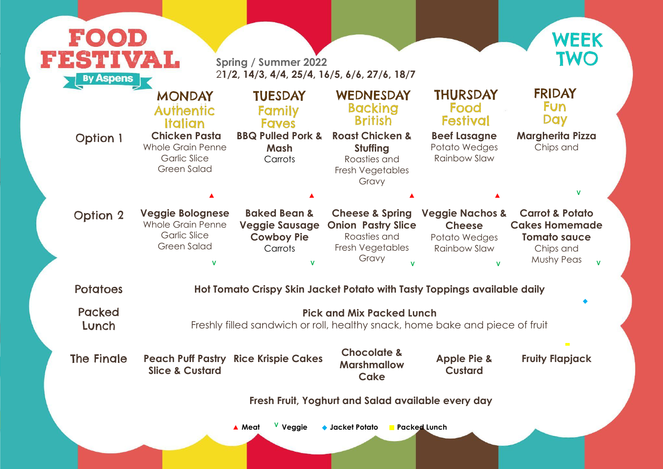

| <b>By Aspens</b>       | FESTIVAL                                                                                         | <b>Spring / Summer 2022</b><br>21/2, 14/3, 4/4, 25/4, 16/5, 6/6, 27/6, 18/7                      |                                                                                                                  |                                                                                                                    | <b>TWO</b>                                                                                                   |
|------------------------|--------------------------------------------------------------------------------------------------|--------------------------------------------------------------------------------------------------|------------------------------------------------------------------------------------------------------------------|--------------------------------------------------------------------------------------------------------------------|--------------------------------------------------------------------------------------------------------------|
|                        | <b>MONDAY</b><br><b>Authentic</b><br><b>Italian</b>                                              | <b>TUESDAY</b><br>Family<br><b>Faves</b>                                                         | WEDNESDAY<br><b>Backing</b><br><b>British</b>                                                                    | <b>THURSDAY</b><br>Food<br><b>Festival</b>                                                                         | <b>FRIDAY</b><br><b>Fun</b><br><b>Day</b>                                                                    |
| <b>Option 1</b>        | <b>Chicken Pasta</b><br><b>Whole Grain Penne</b><br><b>Garlic Slice</b><br><b>Green Salad</b>    | <b>BBQ Pulled Pork &amp;</b><br>Mash<br>Carrots                                                  | <b>Roast Chicken &amp;</b><br><b>Stuffing</b><br>Roasties and<br><b>Fresh Vegetables</b><br>Gravy                | <b>Beef Lasagne</b><br>Potato Wedges<br><b>Rainbow Slaw</b>                                                        | <b>Margherita Pizza</b><br>Chips and                                                                         |
|                        |                                                                                                  |                                                                                                  |                                                                                                                  |                                                                                                                    | V                                                                                                            |
| <b>Option 2</b>        | <b>Veggie Bolognese</b><br><b>Whole Grain Penne</b><br><b>Garlic Slice</b><br><b>Green Salad</b> | <b>Baked Bean &amp;</b><br><b>Veggie Sausage</b><br><b>Cowboy Pie</b><br>Carrots<br>$\mathbf{V}$ | <b>Cheese &amp; Spring</b><br><b>Onion Pastry Slice</b><br>Roasties and<br>Fresh Vegetables<br>Gravy             | <b>Veggie Nachos &amp;</b><br><b>Cheese</b><br>Potato Wedges<br><b>Rainbow Slaw</b><br>$\mathsf V$ and $\mathsf V$ | <b>Carrot &amp; Potato</b><br><b>Cakes Homemade</b><br><b>Tomato sauce</b><br>Chips and<br><b>Mushy Peas</b> |
| <b>Potatoes</b>        |                                                                                                  |                                                                                                  | Hot Tomato Crispy Skin Jacket Potato with Tasty Toppings available daily                                         |                                                                                                                    |                                                                                                              |
| <b>Packed</b><br>Lunch |                                                                                                  |                                                                                                  | <b>Pick and Mix Packed Lunch</b><br>Freshly filled sandwich or roll, healthy snack, home bake and piece of fruit |                                                                                                                    |                                                                                                              |
| <b>The Fingle</b>      | <b>Slice &amp; Custard</b>                                                                       | <b>Peach Puff Pastry Rice Krispie Cakes</b>                                                      | <b>Chocolate &amp;</b><br><b>Marshmallow</b><br>Cake                                                             | <b>Apple Pie &amp;</b><br><b>Custard</b>                                                                           | $\mathcal{L}^{\mathcal{L}}$<br><b>Fruity Flapjack</b>                                                        |
|                        |                                                                                                  |                                                                                                  | Fresh Fruit, Yoghurt and Salad available every day                                                               |                                                                                                                    |                                                                                                              |